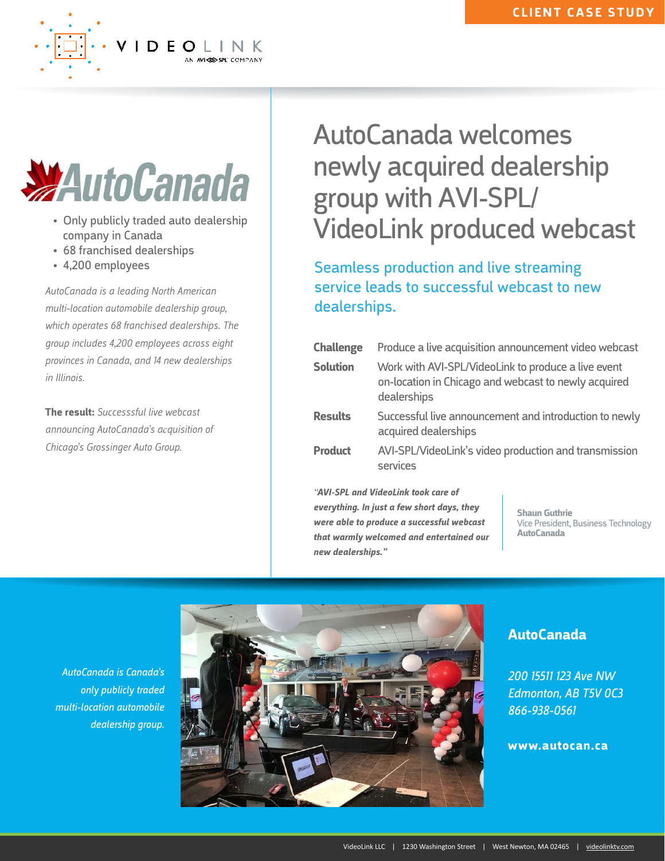

• Only publicly traded auto dealership company in Canada

VIDEOLINK

- 68 franchised dealerships
- 4,200 employees

*AutoCanada is a leading North American multi-location automobile dealership group, which operates 68 franchised dealerships. The group includes 4,200 employees across eight provinces in Canada, and 14 new dealerships in Illinois.*

**The result:** *Successsful live webcast announcing AutoCanada's a*c*quisition of Chicago's Grossinger Auto Group.* 

## AutoCanada welcomes newly acquired dealership group with AVI-SPL/ VideoLink produced webcast

Seamless production and live streaming service leads to successful webcast to new dealerships.

| <b>Challenge</b> | Produce a live acquisition announcement video webcast                                                                      |
|------------------|----------------------------------------------------------------------------------------------------------------------------|
| <b>Solution</b>  | Work with AVI-SPL/VideoLink to produce a live event<br>on-location in Chicago and webcast to newly acquired<br>dealerships |
| <b>Results</b>   | Successful live announcement and introduction to newly<br>acquired dealerships                                             |
| <b>Product</b>   | AVI-SPL/VideoLink's video production and transmission<br>services                                                          |

*"AVI-SPL and VideoLink took care of everything. In just a few short days, they were able to produce a successful webcast that warmly welcomed and entertained our new dealerships."* 

**Shaun Guthrie** Vice President, Business Technology **AutoCanada**

*AutoCanada is Canada's only publicly traded multi-location automobile dealership group.*



## **AutoCanada**

*200 15511 123 Ave NW Edmonton, AB T5V 0C3 866-938-0561*

## **www.autocan.ca**